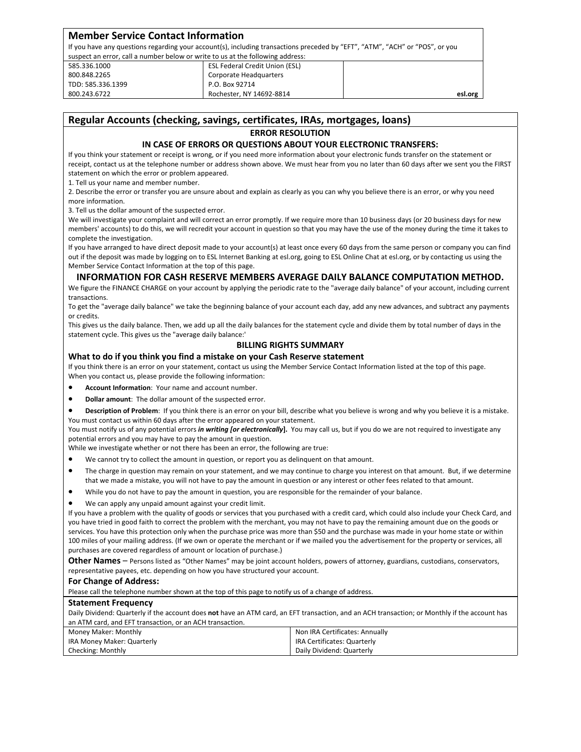| <b>Member Service Contact Information</b>                                      |                                                                                                                              |         |
|--------------------------------------------------------------------------------|------------------------------------------------------------------------------------------------------------------------------|---------|
|                                                                                | If you have any questions regarding your account(s), including transactions preceded by "EFT", "ATM", "ACH" or "POS", or you |         |
| suspect an error, call a number below or write to us at the following address: |                                                                                                                              |         |
| 585.336.1000                                                                   | <b>ESL Federal Credit Union (ESL)</b>                                                                                        |         |
| 800.848.2265                                                                   | Corporate Headquarters                                                                                                       |         |
| TDD: 585.336.1399                                                              | P.O. Box 92714                                                                                                               |         |
| 800.243.6722                                                                   | Rochester, NY 14692-8814                                                                                                     | esl.org |

# **Regular Accounts (checking, savings, certificates, IRAs, mortgages, loans)**

#### **ERROR RESOLUTION**

## **IN CASE OF ERRORS OR QUESTIONS ABOUT YOUR ELECTRONIC TRANSFERS:**

If you think your statement or receipt is wrong, or if you need more information about your electronic funds transfer on the statement or receipt, contact us at the telephone number or address shown above. We must hear from you no later than 60 days after we sent you the FIRST statement on which the error or problem appeared.

1. Tell us your name and member number.

2. Describe the error or transfer you are unsure about and explain as clearly as you can why you believe there is an error, or why you need more information.

3. Tell us the dollar amount of the suspected error.

We will investigate your complaint and will correct an error promptly. If we require more than 10 business days (or 20 business days for new members' accounts) to do this, we will recredit your account in question so that you may have the use of the money during the time it takes to complete the investigation.

If you have arranged to have direct deposit made to your account(s) at least once every 60 days from the same person or company you can find out if the deposit was made by logging on to ESL Internet Banking at esl.org, going to ESL Online Chat at esl.org, or by contacting us using the Member Service Contact Information at the top of this page.

# **INFORMATION FOR CASH RESERVE MEMBERS AVERAGE DAILY BALANCE COMPUTATION METHOD.**

We figure the FINANCE CHARGE on your account by applying the periodic rate to the "average daily balance" of your account, including current transactions.

To get the "average daily balance" we take the beginning balance of your account each day, add any new advances, and subtract any payments or credits.

This gives us the daily balance. Then, we add up all the daily balances for the statement cycle and divide them by total number of days in the statement cycle. This gives us the "average daily balance:'

# **BILLING RIGHTS SUMMARY**

### **What to do if you think you find a mistake on your Cash Reserve statement**

If you think there is an error on your statement, contact us using the Member Service Contact Information listed at the top of this page. When you contact us, please provide the following information:

- **Account Information**: Your name and account number.
- **Dollar amount**: The dollar amount of the suspected error.
- **Description of Problem**: If you think there is an error on your bill, describe what you believe is wrong and why you believe it is a mistake. You must contact us within 60 days after the error appeared on your statement.

You must notify us of any potential errors *in writing [or electronically***].** You may call us, but if you do we are not required to investigate any potential errors and you may have to pay the amount in question.

While we investigate whether or not there has been an error, the following are true:

- We cannot try to collect the amount in question, or report you as delinquent on that amount.
- The charge in question may remain on your statement, and we may continue to charge you interest on that amount. But, if we determine that we made a mistake, you will not have to pay the amount in question or any interest or other fees related to that amount.
- While you do not have to pay the amount in question, you are responsible for the remainder of your balance.
- We can apply any unpaid amount against your credit limit.

If you have a problem with the quality of goods or services that you purchased with a credit card, which could also include your Check Card, and you have tried in good faith to correct the problem with the merchant, you may not have to pay the remaining amount due on the goods or services. You have this protection only when the purchase price was more than \$50 and the purchase was made in your home state or within 100 miles of your mailing address. (If we own or operate the merchant or if we mailed you the advertisement for the property or services, all purchases are covered regardless of amount or location of purchase.)

**Other Names** – Persons listed as "Other Names" may be joint account holders, powers of attorney, guardians, custodians, conservators, representative payees, etc. depending on how you have structured your account.

#### **For Change of Address:**

Please call the telephone number shown at the top of this page to notify us of a change of address.

### **Statement Frequency**

Daily Dividend: Quarterly if the account does **not** have an ATM card, an EFT transaction, and an ACH transaction; or Monthly if the account has an ATM card, and EFT transaction, or an ACH transaction.

| Money Maker: Monthly       | Non IRA Certificates: Annually |
|----------------------------|--------------------------------|
| IRA Money Maker: Quarterly | IRA Certificates: Quarterly    |
| Checking: Monthly          | Daily Dividend: Quarterly      |